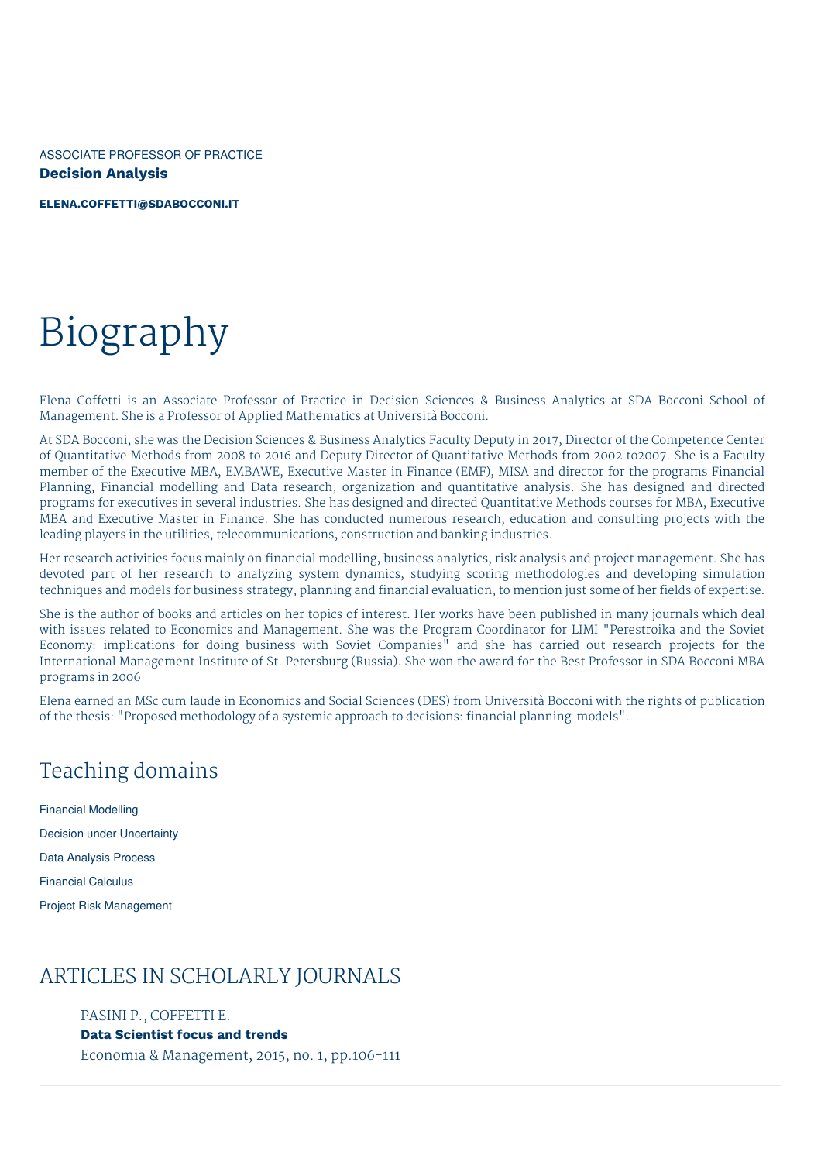ASSOCIATE PROFESSOR OF PRACTICE **Decision Analysis**

**[ELENA.COFFETTI@SDABOCCONI.IT](mailto:elena.coffetti@sdabocconi.it)**

# Biography

Elena Coffetti is an Associate Professor of Practice in Decision Sciences & Business Analytics at SDA Bocconi School of Management. She is a Professor of Applied Mathematics at Università Bocconi.

At SDA Bocconi, she was the Decision Sciences & Business Analytics Faculty Deputy in 2017, Director of the Competence Center of Quantitative Methods from 2008 to 2016 and Deputy Director of Quantitative Methods from 2002 to2007. She is a Faculty member of the Executive MBA, EMBAWE, Executive Master in Finance (EMF), MISA and director for the programs Financial Planning, Financial modelling and Data research, organization and quantitative analysis. She has designed and directed programs for executives in several industries. She has designed and directed Quantitative Methods courses for MBA, Executive MBA and Executive Master in Finance. She has conducted numerous research, education and consulting projects with the leading players in the utilities, telecommunications, construction and banking industries.

Her research activities focus mainly on financial modelling, business analytics, risk analysis and project management. She has devoted part of her research to analyzing system dynamics, studying scoring methodologies and developing simulation techniques and models for business strategy, planning and financial evaluation, to mention just some of her fields of expertise.

She is the author of books and articles on her topics of interest. Her works have been published in many journals which deal with issues related to Economics and Management. She was the Program Coordinator for LIMI "Perestroika and the Soviet Economy: implications for doing business with Soviet Companies<sup>"</sup> and she has carried out research projects for the International Management Institute of St. Petersburg (Russia). She won the award for the Best Professor in SDA Bocconi MBA programs in 2006

Elena earned an MSc cum laude in Economics and Social Sciences (DES) from Università Bocconi with the rights of publication of the thesis: "Proposed methodology of a systemic approach to decisions: financial planning models".

## Teaching domains

Financial Modelling Decision under Uncertainty Data Analysis Process Financial Calculus Project Risk Management

## ARTICLES IN SCHOLARLY JOURNALS

PASINI P., COFFETTI E. **Data Scientist focus and trends** Economia & Management, 2015, no. 1, pp.106-111